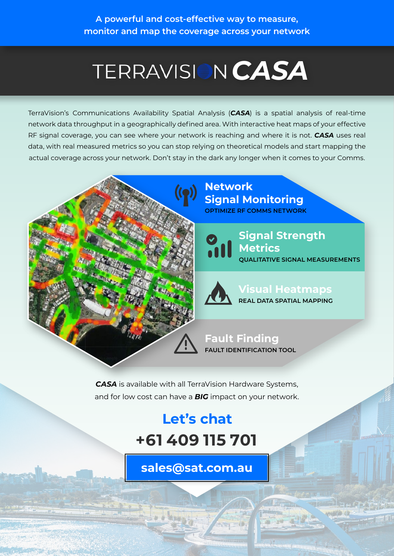## *CASA*

TerraVision's Communications Availability Spatial Analysis (*CASA*) is a spatial analysis of real-time network data throughput in a geographically defined area. With interactive heat maps of your effective RF signal coverage, you can see where your network is reaching and where it is not. *CASA* uses real data, with real measured metrics so you can stop relying on theoretical models and start mapping the actual coverage across your network. Don't stay in the dark any longer when it comes to your Comms.





**Signal Strength Metrics QUALITATIVE SIGNAL MEASUREMENTS**



**Visual Heatmaps REAL DATA SPATIAL MAPPING**

**Fault Finding FAULT IDENTIFICATION TOOL**

*CASA* is available with all TerraVision Hardware Systems, and for low cost can have a *BIG* impact on your network.

## **Let's chat +61 409 115 701**

**[sales@sat.com.au](mailto:sales%40sat.com.au?subject=Let%27s%20chat%20about%20CASA%20%20)**